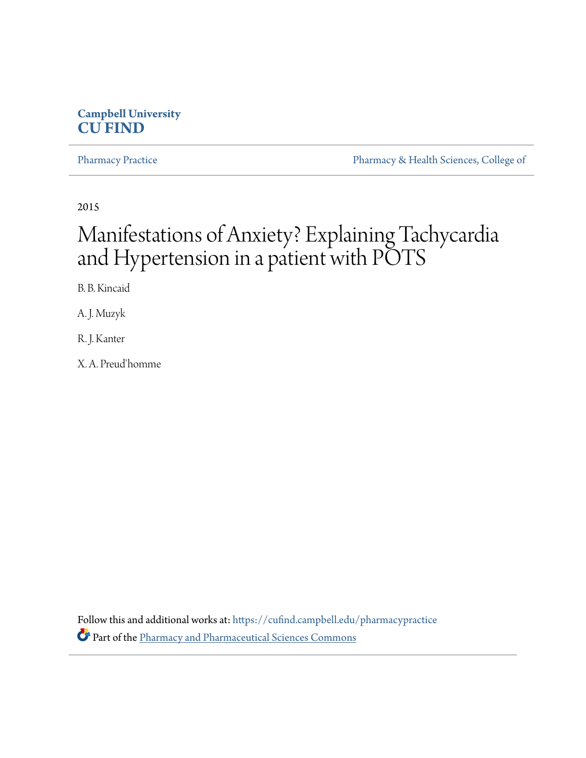# **Campbell University [CU FIND](https://cufind.campbell.edu?utm_source=cufind.campbell.edu%2Fpharmacypractice%2F326&utm_medium=PDF&utm_campaign=PDFCoverPages)**

[Pharmacy Practice](https://cufind.campbell.edu/pharmacypractice?utm_source=cufind.campbell.edu%2Fpharmacypractice%2F326&utm_medium=PDF&utm_campaign=PDFCoverPages) [Pharmacy & Health Sciences, College of](https://cufind.campbell.edu/pharmacy_and_health_sciences?utm_source=cufind.campbell.edu%2Fpharmacypractice%2F326&utm_medium=PDF&utm_campaign=PDFCoverPages)

2015

# Manifestations of Anxiety? Explaining Tachycardia and Hypertension in a patient with POTS

B. B. Kincaid

A. J. Muzyk

R. J. Kanter

X. A. Preud'homme

Follow this and additional works at: [https://cufind.campbell.edu/pharmacypractice](https://cufind.campbell.edu/pharmacypractice?utm_source=cufind.campbell.edu%2Fpharmacypractice%2F326&utm_medium=PDF&utm_campaign=PDFCoverPages) Part of the [Pharmacy and Pharmaceutical Sciences Commons](http://network.bepress.com/hgg/discipline/731?utm_source=cufind.campbell.edu%2Fpharmacypractice%2F326&utm_medium=PDF&utm_campaign=PDFCoverPages)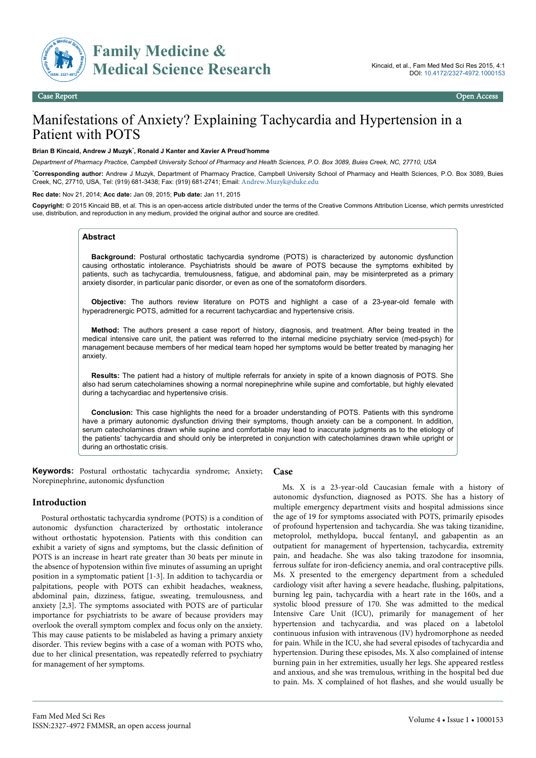

# **Family Medicine & Medical Science Research**

# Manifestations of Anxiety? Explaining Tachycardia and Hypertension in a Patient with POTS

#### **Brian B Kincaid, Andrew J Muzyk**\* **, Ronald J Kanter and Xavier A Preud'homme**

*Department of Pharmacy Practice, Campbell University School of Pharmacy and Health Sciences, P.O. Box 3089, Buies Creek, NC, 27710, USA*

\***Corresponding author:** Andrew J Muzyk, Department of Pharmacy Practice, Campbell University School of Pharmacy and Health Sciences, P.O. Box 3089, Buies Creek, NC, 27710, USA, Tel: (919) 681-3438; Fax: (919) 681-2741; Email: [Andrew.Muzyk@duke.edu](mailto:Andrew.Muzyk@duke.edu)

**Rec date:** Nov 21, 2014; **Acc date:** Jan 09, 2015; **Pub date:** Jan 11, 2015

**Copyright:** © 2015 Kincaid BB, et al. This is an open-access article distributed under the terms of the Creative Commons Attribution License, which permits unrestricted use, distribution, and reproduction in any medium, provided the original author and source are credited.

### **Abstract**

**Background:** Postural orthostatic tachycardia syndrome (POTS) is characterized by autonomic dysfunction causing orthostatic intolerance. Psychiatrists should be aware of POTS because the symptoms exhibited by patients, such as tachycardia, tremulousness, fatigue, and abdominal pain, may be misinterpreted as a primary anxiety disorder, in particular panic disorder, or even as one of the somatoform disorders.

**Objective:** The authors review literature on POTS and highlight a case of a 23-year-old female with hyperadrenergic POTS, admitted for a recurrent tachycardiac and hypertensive crisis.

**Method:** The authors present a case report of history, diagnosis, and treatment. After being treated in the medical intensive care unit, the patient was referred to the internal medicine psychiatry service (med-psych) for management because members of her medical team hoped her symptoms would be better treated by managing her anxiety.

**Results:** The patient had a history of multiple referrals for anxiety in spite of a known diagnosis of POTS. She also had serum catecholamines showing a normal norepinephrine while supine and comfortable, but highly elevated during a tachycardiac and hypertensive crisis.

**Conclusion:** This case highlights the need for a broader understanding of POTS. Patients with this syndrome have a primary autonomic dysfunction driving their symptoms, though anxiety can be a component. In addition, serum catecholamines drawn while supine and comfortable may lead to inaccurate judgments as to the etiology of the patients' tachycardia and should only be interpreted in conjunction with catecholamines drawn while upright or during an orthostatic crisis.

**Keywords:** Postural orthostatic tachycardia syndrome; Anxiety; Norepinephrine, autonomic dysfunction **Case**

#### **Introduction**

Postural orthostatic tachycardia syndrome (POTS) is a condition of autonomic dysfunction characterized by orthostatic intolerance without orthostatic hypotension. Patients with this condition can exhibit a variety of signs and symptoms, but the classic definition of POTS is an increase in heart rate greater than 30 beats per minute in the absence of hypotension within five minutes of assuming an upright position in a symptomatic patient [1-3]. In addition to tachycardia or palpitations, people with POTS can exhibit headaches, weakness, abdominal pain, dizziness, fatigue, sweating, tremulousness, and anxiety [2,3]. The symptoms associated with POTS are of particular importance for psychiatrists to be aware of because providers may overlook the overall symptom complex and focus only on the anxiety. This may cause patients to be mislabeled as having a primary anxiety disorder. This review begins with a case of a woman with POTS who, due to her clinical presentation, was repeatedly referred to psychiatry for management of her symptoms.

Ms. X is a 23-year-old Caucasian female with a history of autonomic dysfunction, diagnosed as POTS. She has a history of multiple emergency department visits and hospital admissions since the age of 19 for symptoms associated with POTS, primarily episodes of profound hypertension and tachycardia. She was taking tizanidine, metoprolol, methyldopa, buccal fentanyl, and gabapentin as an outpatient for management of hypertension, tachycardia, extremity pain, and headache. She was also taking trazodone for insomnia, ferrous sulfate for iron-deficiency anemia, and oral contraceptive pills. Ms. X presented to the emergency department from a scheduled cardiology visit after having a severe headache, flushing, palpitations, burning leg pain, tachycardia with a heart rate in the 160s, and a systolic blood pressure of 170. She was admitted to the medical Intensive Care Unit (ICU), primarily for management of her hypertension and tachycardia, and was placed on a labetolol continuous infusion with intravenous (IV) hydromorphone as needed for pain. While in the ICU, she had several episodes of tachycardia and hypertension. During these episodes, Ms. X also complained of intense burning pain in her extremities, usually her legs. She appeared restless and anxious, and she was tremulous, writhing in the hospital bed due to pain. Ms. X complained of hot flashes, and she would usually be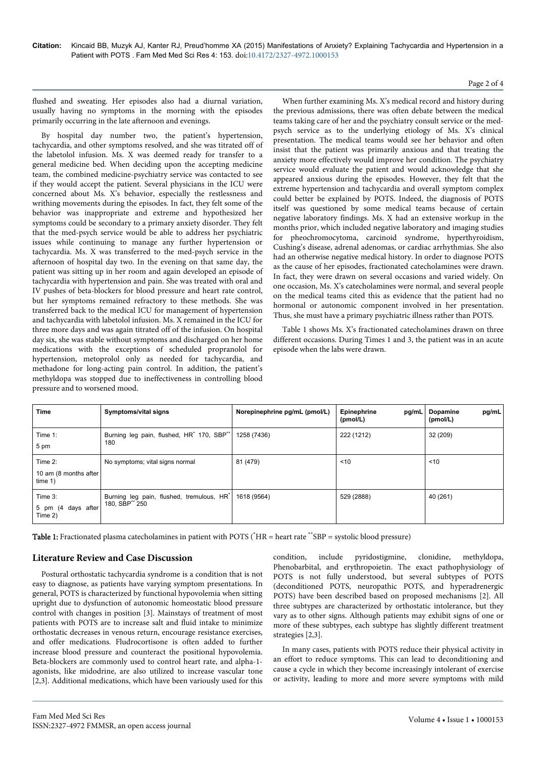**Citation:** Kincaid BB, Muzyk AJ, Kanter RJ, Preud'homme XA (2015) Manifestations of Anxiety? Explaining Tachycardia and Hypertension in a Patient with POTS . Fam Med Med Sci Res 4: 153. doi:10.4172/2327-4972.1000153

#### Page 2 of 4

flushed and sweating. Her episodes also had a diurnal variation, usually having no symptoms in the morning with the episodes primarily occurring in the late afternoon and evenings.

By hospital day number two, the patient's hypertension, tachycardia, and other symptoms resolved, and she was titrated off of the labetolol infusion. Ms. X was deemed ready for transfer to a general medicine bed. When deciding upon the accepting medicine team, the combined medicine-psychiatry service was contacted to see if they would accept the patient. Several physicians in the ICU were concerned about Ms. X's behavior, especially the restlessness and writhing movements during the episodes. In fact, they felt some of the behavior was inappropriate and extreme and hypothesized her symptoms could be secondary to a primary anxiety disorder. They felt that the med-psych service would be able to address her psychiatric issues while continuing to manage any further hypertension or tachycardia. Ms. X was transferred to the med-psych service in the afternoon of hospital day two. In the evening on that same day, the patient was sitting up in her room and again developed an episode of tachycardia with hypertension and pain. She was treated with oral and IV pushes of beta-blockers for blood pressure and heart rate control, but her symptoms remained refractory to these methods. She was transferred back to the medical ICU for management of hypertension and tachycardia with labetolol infusion. Ms. X remained in the ICU for three more days and was again titrated off of the infusion. On hospital day six, she was stable without symptoms and discharged on her home medications with the exceptions of scheduled propranolol for hypertension, metoprolol only as needed for tachycardia, and methadone for long-acting pain control. In addition, the patient's methyldopa was stopped due to ineffectiveness in controlling blood pressure and to worsened mood.

When further examining Ms. X's medical record and history during the previous admissions, there was often debate between the medical teams taking care of her and the psychiatry consult service or the medpsych service as to the underlying etiology of Ms. X's clinical presentation. The medical teams would see her behavior and often insist that the patient was primarily anxious and that treating the anxiety more effectively would improve her condition. The psychiatry service would evaluate the patient and would acknowledge that she appeared anxious during the episodes. However, they felt that the extreme hypertension and tachycardia and overall symptom complex could better be explained by POTS. Indeed, the diagnosis of POTS itself was questioned by some medical teams because of certain negative laboratory findings. Ms. X had an extensive workup in the months prior, which included negative laboratory and imaging studies for pheochromocytoma, carcinoid syndrome, hyperthyroidism, Cushing's disease, adrenal adenomas, or cardiac arrhythmias. She also had an otherwise negative medical history. In order to diagnose POTS as the cause of her episodes, fractionated catecholamines were drawn. In fact, they were drawn on several occasions and varied widely. On one occasion, Ms. X's catecholamines were normal, and several people on the medical teams cited this as evidence that the patient had no hormonal or autonomic component involved in her presentation. Thus, she must have a primary psychiatric illness rather than POTS.

Table 1 shows Ms. X's fractionated catecholamines drawn on three different occasions. During Times 1 and 3, the patient was in an acute episode when the labs were drawn.

| <b>Time</b>                                    | Symptoms/vital signs                                                     | Norepinephrine pg/mL (pmol/L) | Epinephrine<br>pg/mL<br>(pmol/L) | pg/mL<br><b>Dopamine</b><br>(pmol/L) |
|------------------------------------------------|--------------------------------------------------------------------------|-------------------------------|----------------------------------|--------------------------------------|
| Time $1$ :<br>5 pm                             | Burning leg pain, flushed, HR <sup>*</sup> 170, SBP <sup>**</sup><br>180 | 1258 (7436)                   | 222 (1212)                       | 32 (209)                             |
| Time $2$ :<br>10 am (8 months after<br>time 1) | No symptoms; vital signs normal                                          | 81 (479)                      | ~10                              | ~10                                  |
| Time $3$ :<br>5 pm (4 days after)<br>Time 2)   | Burning leg pain, flushed, tremulous, HR*<br>180, SBP** 250              | 1618 (9564)                   | 529 (2888)                       | 40 (261)                             |

Table 1: Fractionated plasma catecholamines in patient with POTS (\*HR = heart rate \*\*SBP = systolic blood pressure)

## **Literature Review and Case Discussion**

Postural orthostatic tachycardia syndrome is a condition that is not easy to diagnose, as patients have varying symptom presentations. In general, POTS is characterized by functional hypovolemia when sitting upright due to dysfunction of autonomic homeostatic blood pressure control with changes in position [3]. Mainstays of treatment of most patients with POTS are to increase salt and fluid intake to minimize orthostatic decreases in venous return, encourage resistance exercises, and offer medications. Fludrocortisone is often added to further increase blood pressure and counteract the positional hypovolemia. Beta-blockers are commonly used to control heart rate, and alpha-1 agonists, like midodrine, are also utilized to increase vascular tone [2,3]. Additional medications, which have been variously used for this condition, include pyridostigmine, clonidine, methyldopa, Phenobarbital, and erythropoietin. The exact pathophysiology of POTS is not fully understood, but several subtypes of POTS (deconditioned POTS, neuropathic POTS, and hyperadrenergic POTS) have been described based on proposed mechanisms [2]. All three subtypes are characterized by orthostatic intolerance, but they vary as to other signs. Although patients may exhibit signs of one or more of these subtypes, each subtype has slightly different treatment strategies [2,3].

In many cases, patients with POTS reduce their physical activity in an effort to reduce symptoms. This can lead to deconditioning and cause a cycle in which they become increasingly intolerant of exercise or activity, leading to more and more severe symptoms with mild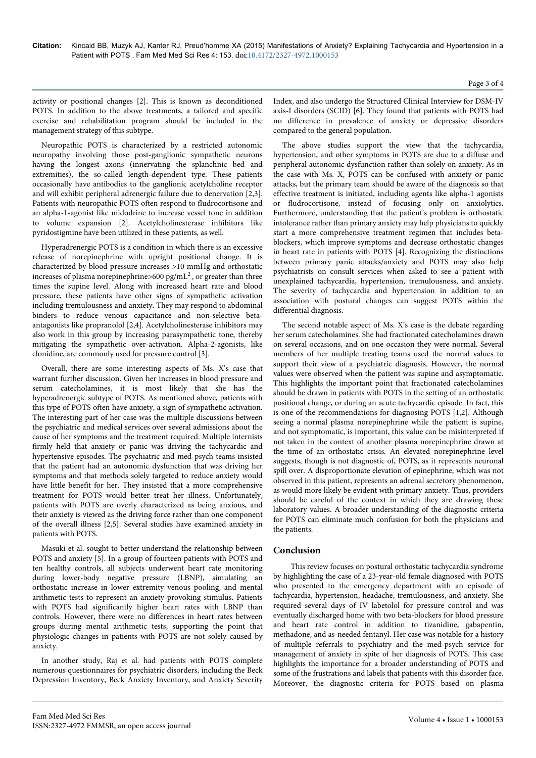activity or positional changes [2]. This is known as deconditioned POTS. In addition to the above treatments, a tailored and specific exercise and rehabilitation program should be included in the management strategy of this subtype.

Neuropathic POTS is characterized by a restricted autonomic neuropathy involving those post-ganglionic sympathetic neurons having the longest axons (innervating the splanchnic bed and extremities), the so-called length-dependent type. These patients occasionally have antibodies to the ganglionic acetylcholine receptor and will exhibit peripheral adrenergic failure due to denervation [2,3]. Patients with neuropathic POTS often respond to fludrocortisone and an alpha-1-agonist like midodrine to increase vessel tone in addition to volume expansion [2]. Acetylcholinesterase inhibitors like pyridostigmine have been utilized in these patients, as well.

Hyperadrenergic POTS is a condition in which there is an excessive release of norepinephrine with upright positional change. It is characterized by blood pressure increases >10 mmHg and orthostatic increases of plasma norepinephrine>600 pg/mL<sup>2</sup>, or greater than three times the supine level. Along with increased heart rate and blood pressure, these patients have other signs of sympathetic activation including tremulousness and anxiety. They may respond to abdominal binders to reduce venous capacitance and non-selective betaantagonists like propranolol [2,4]. Acetylcholinesterase inhibitors may also work in this group by increasing parasympathetic tone, thereby mitigating the sympathetic over-activation. Alpha-2-agonists, like clonidine, are commonly used for pressure control [3].

Overall, there are some interesting aspects of Ms. X's case that warrant further discussion. Given her increases in blood pressure and serum catecholamines, it is most likely that she has the hyperadrenergic subtype of POTS. As mentioned above, patients with this type of POTS often have anxiety, a sign of sympathetic activation. The interesting part of her case was the multiple discussions between the psychiatric and medical services over several admissions about the cause of her symptoms and the treatment required. Multiple internists firmly held that anxiety or panic was driving the tachycardic and hypertensive episodes. The psychiatric and med-psych teams insisted that the patient had an autonomic dysfunction that was driving her symptoms and that methods solely targeted to reduce anxiety would have little benefit for her. They insisted that a more comprehensive treatment for POTS would better treat her illness. Unfortunately, patients with POTS are overly characterized as being anxious, and their anxiety is viewed as the driving force rather than one component of the overall illness [2,5]. Several studies have examined anxiety in patients with POTS.

Masuki et al. sought to better understand the relationship between POTS and anxiety [5]. In a group of fourteen patients with POTS and ten healthy controls, all subjects underwent heart rate monitoring during lower-body negative pressure (LBNP), simulating an orthostatic increase in lower extremity venous pooling, and mental arithmetic tests to represent an anxiety-provoking stimulus. Patients with POTS had significantly higher heart rates with LBNP than controls. However, there were no differences in heart rates between groups during mental arithmetic tests, supporting the point that physiologic changes in patients with POTS are not solely caused by anxiety.

In another study, Raj et al. had patients with POTS complete numerous questionnaires for psychiatric disorders, including the Beck Depression Inventory, Beck Anxiety Inventory, and Anxiety Severity Index, and also undergo the Structured Clinical Interview for DSM-IV axis-I disorders (SCID) [6]. They found that patients with POTS had no difference in prevalence of anxiety or depressive disorders compared to the general population.

The above studies support the view that the tachycardia, hypertension, and other symptoms in POTS are due to a diffuse and peripheral autonomic dysfunction rather than solely on anxiety. As in the case with Ms. X, POTS can be confused with anxiety or panic attacks, but the primary team should be aware of the diagnosis so that effective treatment is initiated, including agents like alpha-1 agonists or fludrocortisone, instead of focusing only on anxiolytics. Furthermore, understanding that the patient's problem is orthostatic intolerance rather than primary anxiety may help physicians to quickly start a more comprehensive treatment regimen that includes betablockers, which improve symptoms and decrease orthostatic changes in heart rate in patients with POTS [4]. Recognizing the distinctions between primary panic attacks/anxiety and POTS may also help psychiatrists on consult services when asked to see a patient with unexplained tachycardia, hypertension, tremulousness, and anxiety. The severity of tachycardia and hypertension in addition to an association with postural changes can suggest POTS within the differential diagnosis.

The second notable aspect of Ms. X's case is the debate regarding her serum catecholamines. She had fractionated catecholamines drawn on several occasions, and on one occasion they were normal. Several members of her multiple treating teams used the normal values to support their view of a psychiatric diagnosis. However, the normal values were observed when the patient was supine and asymptomatic. This highlights the important point that fractionated catecholamines should be drawn in patients with POTS in the setting of an orthostatic positional change, or during an acute tachycardic episode. In fact, this is one of the recommendations for diagnosing POTS [1,2]. Although seeing a normal plasma norepinephrine while the patient is supine, and not symptomatic, is important, this value can be misinterpreted if not taken in the context of another plasma norepinephrine drawn at the time of an orthostatic crisis. An elevated norepinephrine level suggests, though is not diagnostic of, POTS, as it represents neuronal spill over. A disproportionate elevation of epinephrine, which was not observed in this patient, represents an adrenal secretory phenomenon, as would more likely be evident with primary anxiety. Thus, providers should be careful of the context in which they are drawing these laboratory values. A broader understanding of the diagnostic criteria for POTS can eliminate much confusion for both the physicians and the patients.

## **Conclusion**

This review focuses on postural orthostatic tachycardia syndrome by highlighting the case of a 23-year-old female diagnosed with POTS who presented to the emergency department with an episode of tachycardia, hypertension, headache, tremulousness, and anxiety. She required several days of IV labetolol for pressure control and was eventually discharged home with two beta-blockers for blood pressure and heart rate control in addition to tizanidine, gabapentin, methadone, and as-needed fentanyl. Her case was notable for a history of multiple referrals to psychiatry and the med-psych service for management of anxiety in spite of her diagnosis of POTS. This case highlights the importance for a broader understanding of POTS and some of the frustrations and labels that patients with this disorder face. Moreover, the diagnostic criteria for POTS based on plasma